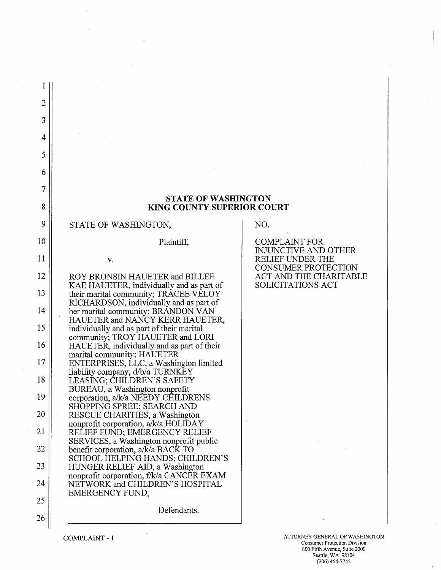| $\overline{2}$ |                                                                                                       |                                                       |
|----------------|-------------------------------------------------------------------------------------------------------|-------------------------------------------------------|
| 3              |                                                                                                       |                                                       |
| 4              |                                                                                                       |                                                       |
| 5              |                                                                                                       |                                                       |
| 6              |                                                                                                       |                                                       |
| 7              |                                                                                                       |                                                       |
| 8              | <b>STATE OF WASHINGTON</b><br><b>KING COUNTY SUPERIOR COURT</b>                                       |                                                       |
| 9              | STATE OF WASHINGTON,                                                                                  | NO.                                                   |
| 10             | Plaintiff,                                                                                            | <b>COMPLAINT FOR</b><br>INJUNCTIVE AND OTHER          |
| 11             | V.                                                                                                    | <b>RELIEF UNDER THE</b><br><b>CONSUMER PROTECTION</b> |
| 12             | ROY BRONSIN HAUETER and BILLEE<br>KAE HAUETER, individually and as part of                            | ACT AND THE CHARITABLE<br><b>SOLICITATIONS ACT</b>    |
| 13             | their marital community; TRACEE VELOY<br>RICHARDSON, individually and as part of                      |                                                       |
| 14             | her marital community; BRANDON VAN                                                                    |                                                       |
| 15             | HAUETER and NANCY KERR HAUETER,<br>individually and as part of their marital                          |                                                       |
| 16             | community; TROY HAUETER and LORI<br>HAUETER, individually and as part of their                        |                                                       |
| 17             | marital community; HAUETER<br>ENTERPRISES, LLC, a Washington limited                                  |                                                       |
| 18             | liability company, d/b/a TURNKEY<br>LEASING; CHILDREN'S SAFETY                                        |                                                       |
| 19             | BUREAU, a Washington nonprofit<br>corporation, a/k/a NEEDY CHILDRENS                                  |                                                       |
| 20             | SHOPPING SPREE; SEARCH AND<br>RESCUE CHARITIES, a Washington                                          |                                                       |
| 21             | nonprofit corporation, a/k/a HOLIDAY<br>RELIEF FUND; EMERGENCY RELIEF                                 |                                                       |
| 22             | SERVICES, a Washington nonprofit public<br>benefit corporation, a/k/a BACK TO                         |                                                       |
| 23             | SCHOOL HELPING HANDS; CHILDREN'S<br>HUNGER RELIEF AID, a Washington                                   |                                                       |
| 24             | nonprofit corporation, f/k/a CANCER EXAM<br>NETWORK and CHILDREN'S HOSPITAL<br><b>EMERGENCY FUND,</b> |                                                       |
| 25             | Defendants.                                                                                           |                                                       |
| 26             |                                                                                                       |                                                       |
|                |                                                                                                       |                                                       |

 $\hat{\boldsymbol{\gamma}}$ 

COMPLAINT - 1 ATTORNEY GENERAL OF WASHINGTON COMPLAINT - 1 800 Fifth Avenue, Suite 2000 Seattle, WA 98104 (206)464-7745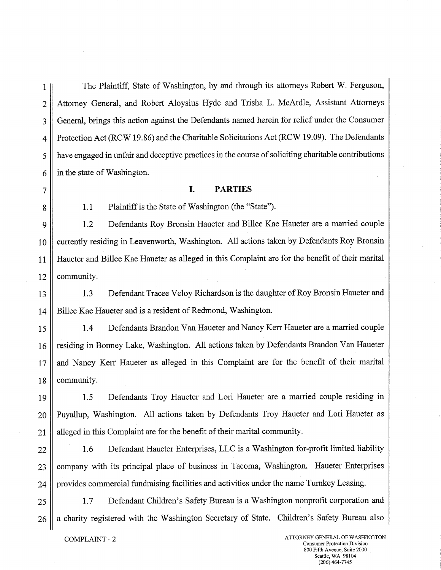1 || The Plaintiff, State of Washington, by and through its attorneys Robert W. Ferguson, 2 | Attorney General, and Robert Aloysius Hyde and Trisha L. McArdle, Assistant Attorneys 3 General, brings this action against the Defendants named herein for relief under the Consumer 4 | Protection Act (RCW 19.86) and the Charitable Solicitations Act (RCW 19.09). The Defendants 5 have engaged in unfair and deceptive practices in the course of soliciting charitable contributions  $6 \parallel$  in the state of Washington.

## <sup>7</sup>**I. PARTIES**

## 8 | 1.1 Plaintiff is the State of Washington (the "State").

9 1.2 Defendants Roy Bronsin Haueter and Billee Kae Haueter are a married couple 10 || currently residing in Leavenworth, Washington. All actions taken by Defendants Roy Bronsin 11 Haueter and Billee Kae Haueter as alleged in this Complaint are for the benefit of their marital  $12$  | community.

13 1.3 Defendant Tracee Veloy Richardson is the daughter of Roy Bronsin Haueter and 14 Sillee Kae Haueter and is a resident of Redmond, Washington.

15 1.4 Defendants Brandon Van Haueter and Nancy Kerr Haueter are a married couple 16 | residing in Bonney Lake, Washington. All actions taken by Defendants Brandon Van Haueter 17 and Nancy Kerr Haueter as alleged in this Complaint are for the benefit of their marital 18 | community.

19 1.5 Defendants Troy Haueter and Lori Haueter are a married couple residing in 20 || Puyallup, Washington. All actions taken by Defendants Troy Haueter and Lori Haueter as 21 || alleged in this Complaint are for the benefit of their marital community.

22 | 1.6 Defendant Haueter Enterprises, LLC is a Washington for-profit limited liability 23 || company with its principal place of business in Tacoma, Washington. Haueter Enterprises 24 | provides commercial fundraising facilities and activities under the name Turnkey Leasing.

25 1.7 Defendant Children's Safety Bureau is a Washington nonprofit corporation and 26 || a charity registered with the Washington Secretary of State. Children's Safety Bureau also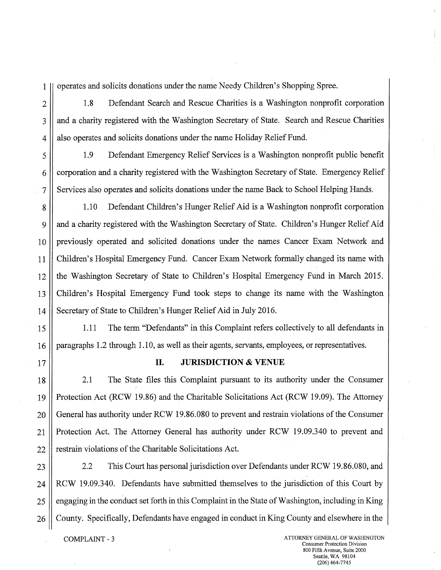1 operates and solicits donations under the name Needy Children's Shopping Spree.

2 | 1.8 Defendant Search and Rescue Charities is a Washington nonprofit corporation 3 || and a charity registered with the Washington Secretary of State. Search and Rescue Charities 4 | also operates and solicits donations under the name Holiday Relief Fund.

5 1.9 Defendant Emergency Relief Services is a Washington nonprofit public benefit 6 corporation and a charity registered with the Washington Secretary of State. Emergency Relief 7 Services also operates and solicits donations under the name Back to School Helping Hands.

8 1.10 Defendant Children's Hunger Relief Aid is a Washington nonprofit corporation 9  $\parallel$  and a charity registered with the Washington Secretary of State. Children's Hunger Relief Aid 10 || previously operated and solicited donations under the names Cancer Exam Network and 11 Children's Hospital Emergency Fund. Cancer Exam Network formally changed its name with 12 the Washington Secretary of State to Children's Hospital Emergency Fund in March 2015. 13 Children's Hospital Emergency Fund took steps to change its name with the Washington 14 Secretary of State to Children's Hunger Relief Aid in July 2016.

15 || 1.11 The term "Defendants" in this Complaint refers collectively to all defendants in 16 | paragraphs 1.2 through 1.10, as well as their agents, servants, employees, or representatives.

## 17 **IL JURISDICTION** & **VENUE**

18 2.1 The State files this Complaint pursuant to its authority under the Consumer 19 Protection Act (RCW 19.86) and the Charitable Solicitations Act (RCW 19.09). The Attorney 20 General has authority under RCW 19.86.080 to prevent and restrain violations of the Consumer 21 || Protection Act. The Attorney General has authority under RCW 19.09.340 to prevent and  $22$  | restrain violations of the Charitable Solicitations Act.

23 2.2 This Court has personal jurisdiction over Defendants under RCW 19.86.080, and 24 RCW 19.09.340. Defendants have submitted themselves to the jurisdiction of this Court by 25 | engaging in the conduct set forth in this Complaint in the State of Washington, including in King 26 **11** County. Specifically, Defendants have engaged in conduct in King County and elsewhere in the

COMPLAINT - 3 ATTORNEY GENERAL OF WASHINGTON Consumer Protection Division 800 Fifth Avenue, Suite 2000 Seattle, WA 98104 (206) 464-7745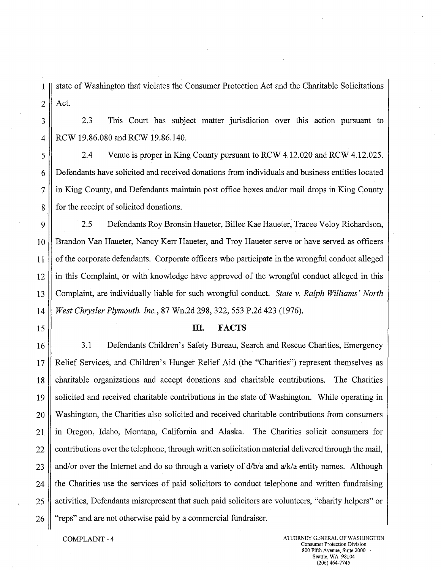1 state of Washington that violates the Consumer Protection Act and the Charitable Solicitations  $2 \parallel$  Act.

3 2.3 This Court has subject matter jurisdiction over this action pursuant to 4 | RCW 19.86.080 and RCW 19.86.140.

5 2.4 Venue is proper in King County pursuant to RCW 4.12.020 and RCW 4.12.025. 6 Defendants have solicited and received donations from individuals and business entities located 7 in King County, and Defendants maintain post office boxes and/or mail drops in King County 8 for the receipt of solicited donations.

9 2.5 Defendants Roy Bronsin Haueter, Billee Kae Haueter, Tracee Veloy Richardson, 10 || Brandon Van Haueter, Nancy Kerr Haueter, and Troy Haueter serve or have served as officers 11 of the corporate defendants. Corporate officers who participate in the wrongful conduct alleged 12 in this Complaint, or with knowledge have approved of the wrongful conduct alleged in this 13 Complaint, are individually liable for such wrongful conduct. *State v. Ralph Williams' North*  14 *West Chrysler Plymouth, Inc.,* 87 Wn.2d 298, 322, 553 P.2d 423 (1976).

## 15 **III. FACTS**

16 3.1 Defendants Children's Safety Bureau, Search and Rescue Charities, Emergency 17 Relief Services, and Children's Hunger Relief Aid (the "Charities") represent themselves as 18 charitable organizations and accept donations and charitable contributions. The Charities 19 solicited and received charitable contributions in the state of Washington. While operating in 20 Washington, the Charities also solicited and received charitable contributions from consumers 21. in Oregon, Idaho, Montana, California and Alaska. The Charities solicit consumers for  $22$  | contributions over the telephone, through written solicitation material delivered through the mail, 23 || and/or over the Internet and do so through a variety of  $d/b/a$  and  $a/k/a$  entity names. Although  $24$  || the Charities use the services of paid solicitors to conduct telephone and written fundraising 25 || activities, Defendants misrepresent that such paid solicitors are volunteers, "charity helpers" or 26 **11** "reps" and are not otherwise paid by a commercial fundraiser.

COMPLAINT - 4 ATTORNEY GENERAL OF WASHINGTON Consumer Protection Division 800 Fifth Avenue, Suite 2000 Seattle, WA 98104 (206) 464-7745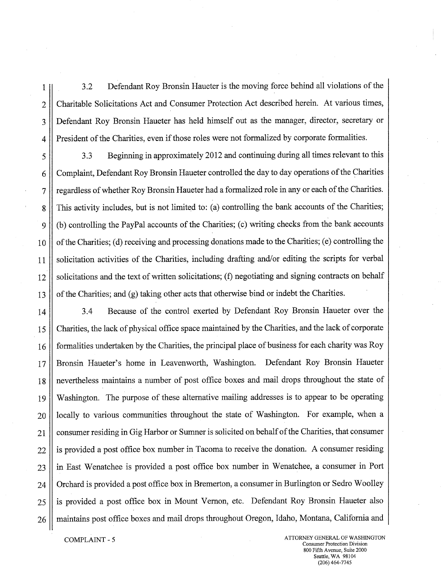1 3.2 Defendant Roy Bronsin Haueter is the moving force behind all violations of the 2 Charitable Solicitations Act and Consumer Protection Act described herein. At various times, 3 Defendant Roy Bronsin Haueter has held himself out as the manager, director, secretary or 4 President of the Charities, even if those roles were not formalized by corporate formalities.

5 3.3 Beginning in approximately 2012 and continuing during all times relevant to this 6 Complaint, Defendant Roy Bronsin Haueter controlled the day to day operations of the Charities 7 | regardless of whether Roy Bronsin Haueter had a formalized role in any or each of the Charities. g This activity includes, but is not limited to: (a) controlling the bank accounts of the Charities; 9 (b) controlling the PayPal accounts of the Charities; (c) writing checks from the bank accounts 10 of the Charities; (d) receiving and processing donations made to the Charities; (e) controlling the 11 || solicitation activities of the Charities, including drafting and/or editing the scripts for verbal 12 || solicitations and the text of written solicitations; (f) negotiating and signing contracts on behalf 13  $\parallel$  of the Charities; and (g) taking other acts that otherwise bind or indebt the Charities.

14 3.4 Because of the control exerted by Defendant Roy Bronsin Haueter over the 15 Charities, the lack of physical office space maintained by the Charities, and the lack of corporate 16 formalities undertaken by the Charities, the principal place of business for each charity was Roy 17 Bronsin Haueter's home in Leavenworth, Washington. Defendant Roy Bronsin Haueter 18 nevertheless maintains a number of post office boxes and mail drops throughout the state of 19 Washington. The purpose of these alternative mailing addresses is to appear to be operating  $20$  | locally to various communities throughout the state of Washington. For example, when a 21 consumer residing in Gig Harbor or Sumner is solicited on behalf of the Charities, that consumer 22 || is provided a post office box number in Tacoma to receive the donation. A consumer residing 23 in East Wenatchee is provided a post office box number in Wenatchee, a consumer in Port 24 | Orchard is provided a post office box in Bremerton, a consumer in Burlington or Sedro Woolley  $25$  is provided a post office box in Mount Vernon, etc. Defendant Roy Bronsin Haueter also 26 || maintains post office boxes and mail drops throughout Oregon, Idaho, Montana, California and

COMPLAINT - 5 ATTORNEY GENERAL OF WASHINGTON Consumer Protection Division 800 Fifth Avenue, Suite 2000 Seattle, WA 98104 (206) 464-7745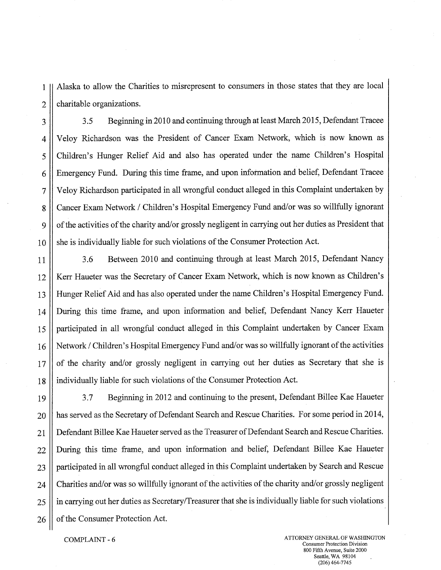1 Alaska to allow the Charities to misrepresent to consumers in those states that they are local  $2 \parallel$  charitable organizations.

3 3.5 Beginning in 2010 and continuing through at least March 2015, Defendant Tracee 4 Veloy Richardson was the President of Cancer Exam Network, which is now known as 5 Children's Hunger Relief Aid and also has operated under the name Children's Hospital 6 Emergency Fund. During this time frame, and upon information and belief, Defendant Tracee 7 Veloy Richardson participated in all wrongful conduct alleged in this Complaint undertaken by 8 | Cancer Exam Network / Children's Hospital Emergency Fund and/or was so willfully ignorant 9 | of the activities of the charity and/or grossly negligent in carrying out her duties as President that 10 she is individually liable for such violations of the Consumer Protection Act.

11 | 3.6 Between 2010 and continuing through at least March 2015, Defendant Nancy 12 || Kerr Haueter was the Secretary of Cancer Exam Network, which is now known as Children's 13 Hunger Relief Aid and has also operated under the name Children's Hospital Emergency Fund. 14 During this time frame, and upon information and belief, Defendant Nancy Kerr Haueter 15 participated in all wrongful conduct alleged in this Complaint undertaken by Cancer Exam 16 Network / Children's Hospital Emergency Fund and/or was so willfully ignorant of the activities 17 of the charity and/or grossly negligent in carrying out her duties as Secretary that she is 18 individually liable for such violations of the Consumer Protection Act.

19 3.7 Beginning in 2012 and continuing to the present, Defendant Billee Kae Haueter 20 || has served as the Secretary of Defendant Search and Rescue Charities. For some period in 2014, 21 Defendant Billee Kae Haueter served as the Treasurer of Defendant Search and Rescue Charities. 22 During this time frame, and upon information and belief, Defendant Billee Kae Haueter 23 || participated in all wrongful conduct alleged in this Complaint undertaken by Search and Rescue 24 Charities and/or was so willfully ignorant of the activities of the charity and/or grossly negligent 25 || in carrying out her duties as Secretary/Treasurer that she is individually liable for such violations  $26 \parallel$  of the Consumer Protection Act.

COMPLAINT - 6 ATTORNEY GENERAL OF WASHINGTON Consumer Protection Division 800 Fifth Avenue, Suite 2000 Seattle, WA 98104 (206)464-7745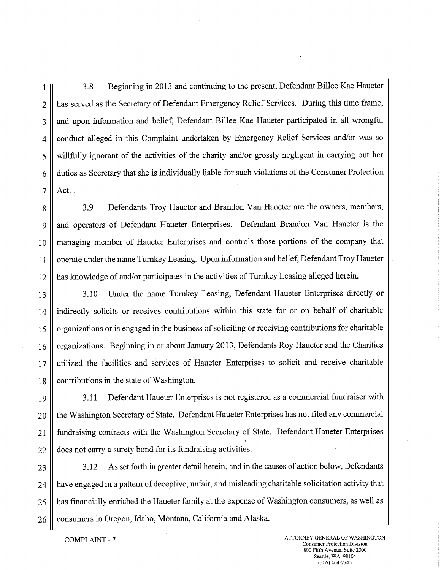1 3.8 Beginning in 2013 and continuing to the present, Defendant Billee Kae Haueter 2 || has served as the Secretary of Defendant Emergency Relief Services. During this time frame, 3 and upon information and belief, Defendant Billee Kae Haueter participated in all wrongful 4 conduct alleged in this Complaint undertaken by Emergency Relief Services and/or was so 5 willfully ignorant of the activities of the charity and/or grossly negligent in carrying out her 6 duties as Secretary that she is individually liable for such violations of the Consumer Protection  $7$  | Act.

8 3.9 Defendants Troy Haueter and Brandon Van Haueter are the owners, members, 9 and operators of Defendant Haueter Enterprises. Defendant Brandon Van Haueter is the 10 || managing member of Haueter Enterprises and controls those portions of the company that 11 | operate under the name Turnkey Leasing. Upon information and belief, Defendant Troy Haueter 12 has knowledge of and/or participates in the activities of Turnkey Leasing alleged herein.

13 3.10 Under the name Turnkey Leasing, Defendant Haueter Enterprises directly or 14 indirectly solicits or receives contributions within this state for or on behalf of charitable 15 || organizations or is engaged in the business of soliciting or receiving contributions for charitable 16 | organizations. Beginning in or about January 2013, Defendants Roy Haueter and the Charities 17 utilized the facilities and services of Haueter Enterprises to solicit and receive charitable 18 | contributions in the state of Washington.

19 | 3.11 Defendant Haueter Enterprises is not registered as a commercial fundraiser with 20 || the Washington Secretary of State. Defendant Haueter Enterprises has not filed any commercial 21 fundraising contracts with the Washington Secretary of State. Defendant Haueter Enterprises 22 || does not carry a surety bond for its fundraising activities.

 $23$   $\parallel$  3.12 As set forth in greater detail herein, and in the causes of action below, Defendants 24 have engaged in a pattern of deceptive, unfair, and misleading charitable solicitation activity that 25 || has financially enriched the Haueter family at the expense of Washington consumers, as well as  $26$  | consumers in Oregon, Idaho, Montana, California and Alaska.

**• COMPLAINT - 7 • in a start of WASHINGTON ATTORNEY GENERAL OF WASHINGTON** Consumer Protection Division 800 Fifth Avenue, Suite 2000 Seattle, WA 98104 (206)464-7745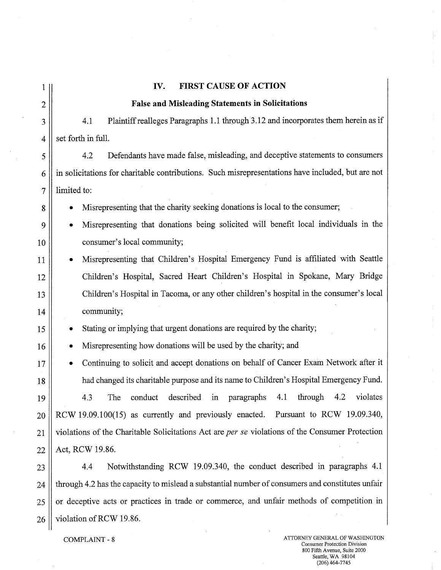1 **IV. FIRST CAUSE OF ACTION**  2 **False and Misleading Statements in Solicitations**  3 4.1 Plaintiff realleges Paragraphs 1.1 through 3.12 and incorporates them herein as if  $4 \parallel$  set forth in full. 5 4.2 Defendants have made false, misleading, and deceptive statements to consumers 6 in solicitations for charitable contributions. Such misrepresentations have included, but are not  $7$  | limited to: 8 **8 • Misrepresenting that the charity seeking donations is local to the consumer;** 9 • Misrepresenting that donations being solicited will benefit local individuals in the 10 | consumer's local community; 11 • Misrepresenting that Children's Hospital Emergency Fund is affiliated with Seattle 12 Children's Hospital, Sacred Heart Children's Hospital in Spokane, Mary Bridge 13 Children's Hospital in Tacoma, or any other children's hospital in the consumer's local 14 community; 15 **•** Stating or implying that urgent donations are required by the charity; 16 **•** Misrepresenting how donations will be used by the charity; and 17 • Continuing to solicit and accept donations on behalf of Cancer Exam Network after it 18 had changed its charitable purpose and its name to Children's Hospital Emergency Fund. 19 4.3 The conduct described in paragraphs 4.1 through 4.2 violates  $20$  RCW 19.09.100(15) as currently and previously enacted. Pursuant to RCW 19.09.340, 21 violations of the Charitable Solicitations Act are *per se* violations of the Consumer Protection  $22$  | Act, RCW 19.86. 23 | 4.4 Notwithstanding RCW 19.09.340, the conduct described in paragraphs 4.1 24 through 4.2 has the capacity to mislead a substantial number of consumers and constitutes unfair 25 or deceptive acts or practices in trade or commerce, and unfair methods of competition in  $26 \parallel$  violation of RCW 19.86.

COMPLAINT - 8 ATTORNEY GENERAL OF WASHINGTON Consumer Protection Division 800 Fifth Avenue, Suite 2000 Seattle, WA 98104 (206) 464-7745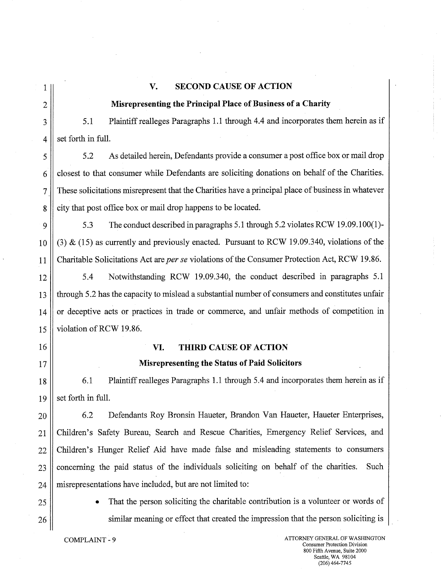### 1 **V. SECOND CAUSE OF ACTION**

### 2 **Misrepresenting the Principal Place of Business of a Charity**

3 | 5.1 Plaintiff realleges Paragraphs 1.1 through 4.4 and incorporates them herein as if  $\vert 4 \vert \vert$  set forth in full.

5 5.2 As detailed herein, Defendants provide a consumer a post office box or mail drop  $6 \parallel$  closest to that consumer while Defendants are soliciting donations on behalf of the Charities. 7 These solicitations misrepresent that the Charities have a principal place of business in whatever 8 city that post office box or mail drop happens to be located.

9 5.3 The conduct described in paragraphs 5.1 through 5.2 violates RCW 19.09.100(1)- 10 (3) & (15) as currently and previously enacted. Pursuant to RCW 19.09.340, violations of the 11 Charitable Solicitations Act are *per se* violations of the Consumer Protection Act, RCW 19.86.

12 5.4 Notwithstanding RCW 19.09.340, the conduct described in paragraphs 5.1 13 through 5.2 has the capacity to mislead a substantial number of consumers and constitutes unfair 14 || or deceptive acts or practices in trade or commerce, and unfair methods of competition in 15 Violation of RCW 19.86.

### 16 **VI. THIRD CAUSE OF ACTION**

#### 17 **Misrepresenting the Status of Paid Solicitors**

18 6.1 Plaintiff realleges Paragraphs 1.1 through 5.4 and incorporates them herein as if  $19$  | set forth in full.

20 | 6.2 Defendants Roy Bronsin Haueter, Brandon Van Haueter, Haueter Enterprises, 21 Children's Safety Bureau, Search and Rescue Charities, Emergency Relief Services, and 22 Children's Hunger Relief Aid have made false and misleading statements to consumers  $23$  concerning the paid status of the individuals soliciting on behalf of the charities. Such  $24$  | misrepresentations have included, but are not limited to:

25 || • That the person soliciting the charitable contribution is a volunteer or words of 26 ||<br>
similar meaning or effect that created the impression that the person soliciting is

COMPLAINT - 9 ATTORNEY GENERAL OF WASHINGTON Consumer Protection Division 800 Fifth Avenue, Suite 2000 Seattle, WA 98104 (206)464-7745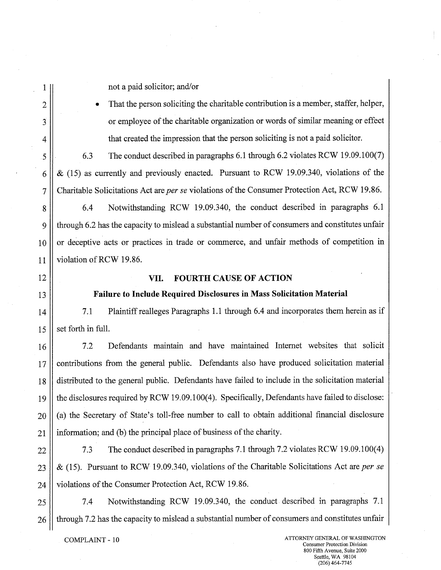1 || not a paid solicitor; and/or

2  $\parallel$  • That the person soliciting the charitable contribution is a member, staffer, helper, 3 | or employee of the charitable organization or words of similar meaning or effect 4 that created the impression that the person soliciting is not a paid solicitor.

5 6.3 The conduct described in paragraphs 6.1 through 6.2 violates RCW 19.09.100(7) 6  $\parallel \alpha$  (15) as currently and previously enacted. Pursuant to RCW 19.09.340, violations of the 7 Charitable Solicitations Act are *per se* violations of the Consumer Protection Act, RCW 19.86.

8 8 6.4 Notwithstanding RCW 19.09.340, the conduct described in paragraphs 6.1 9 through 6.2 has the capacity to mislead a substantial number of consumers and constitutes unfair  $10$  or deceptive acts or practices in trade or commerce, and unfair methods of competition in 11 Violation of RCW 19.86.

## 12 **VII. FOURTH CAUSE OF ACTION**

#### 13 **Failure to Include Required Disclosures in Mass Solicitation Material**

14 | T.1 Plaintiff realleges Paragraphs 1.1 through 6.4 and incorporates them herein as if  $15 \parallel$  set forth in full.

16 | 7.2 Defendants maintain and have maintained Internet websites that solicit 17 || contributions from the general public. Defendants also have produced solicitation material 18 distributed to the general public. Defendants have failed to include in the solicitation material 19 the disclosures required by RCW 19.09.100(4). Specifically, Defendants have failed to disclose: 20 (a) the Secretary of State's toll-free number to call to obtain additional financial disclosure  $21$  || information; and (b) the principal place of business of the charity.

22 | 7.3 The conduct described in paragraphs 7.1 through 7.2 violates RCW 19.09.100(4) 23 & (15). Pursuant to RCW 19.09.340, violations of the Charitable Solicitations Act are *per se*  24 | violations of the Consumer Protection Act, RCW 19.86.

25 7.4 Notwithstanding RCW 19.09.340, the conduct described in paragraphs 7.1 26 \| through 7.2 has the capacity to mislead a substantial number of consumers and constitutes unfair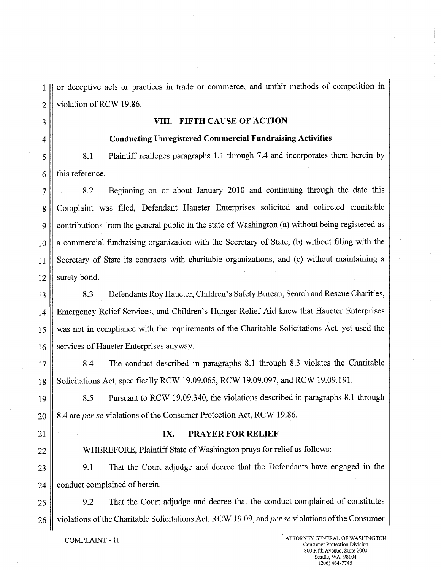1 or deceptive acts or practices in trade or commerce, and unfair methods of competition in  $2 \parallel$  violation of RCW 19.86.

### 3 **VIII. FIFTH CAUSE OF ACTION**

#### 4 **Conducting Unregistered Commercial Fundraising Activities**

5 8.1 Plaintiff realleges paragraphs 1.1 through 7.4 and incorporates them herein by  $6$  | this reference.

7 8.2 Beginning on or about January 2010 and continuing through the date this 8 Complaint was filed, Defendant Haueter Enterprises solicited and collected charitable 9 contributions from the general public in the state of Washington (a) without being registered as 10 || a commercial fundraising organization with the Secretary of State, (b) without filing with the 11 Secretary of State its contracts with charitable organizations, and (c) without maintaining a  $12$  surety bond.

13 8.3 Defendants Roy Haueter, Children's Safety Bureau, Search and Rescue Charities, 14 Emergency Relief Services, and Children's Hunger Relief Aid knew that Haueter Enterprises 15 was not in compliance with the requirements of the Charitable Solicitations Act, yet used the 16 Services of Haueter Enterprises anyway.

17 8.4 The conduct described in paragraphs 8.1 through 8.3 violates the Charitable 18 | Solicitations Act, specifically RCW 19.09.065, RCW 19.09.097, and RCW 19.09.191.

19 8.5 Pursuant to RCW 19.09.340, the violations described in paragraphs 8.1 through 20 8.4 are *per se* violations of the Consumer Protection Act, RCW 19.86.

#### 21 **IX. PRAYER FOR RELIEF**

22 | WHEREFORE, Plaintiff State of Washington prays for relief as follows:

23 9.1 That the Court adjudge and decree that the Defendants have engaged in the 24 | conduct complained of herein.

25 | 9.2 That the Court adjudge and decree that the conduct complained of constitutes 26 | violations of the Charitable Solicitations Act, RCW 19.09, and *per se* violations of the Consumer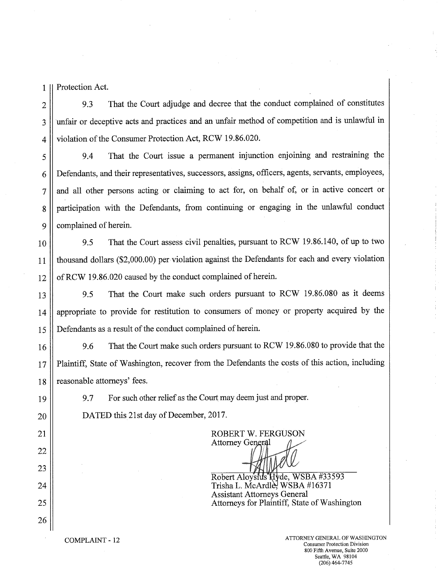1 || Protection Act.

2 || 9.3 That the Court adjudge and decree that the conduct complained of constitutes 3 || unfair or deceptive acts and practices and an unfair method of competition and is unlawful in 4 | violation of the Consumer Protection Act, RCW 19.86.020.

5 9.4 That the Court issue a permanent injunction enjoining and restraining the 6 Defendants, and their representatives, successors, assigns, officers, agents, servants, employees, 7 || and all other persons acting or claiming to act for, on behalf of, or in active concert or 8 participation with the Defendants, from continuing or engaging in the unlawful conduct 9 || complained of herein.

10 9.5 That the Court assess civil penalties, pursuant to RCW 19.86.140, of up to two 11 thousand dollars (\$2,000.00) per violation against the Defendants for each and every violation 12 | of RCW 19.86.020 caused by the conduct complained of herein.

13 9.5 That the Court make such orders pursuant to RCW 19.86.080 as it deems 14 || appropriate to provide for restitution to consumers of money or property acquired by the 15 Defendants as a result of the conduct complained of herein.

16 9.6 That the Court make such orders pursuant to RCW 19.86.080 to provide that the 17 Plaintiff, State of Washington, recover from the Defendants the costs of this action, including 18 | reasonable attorneys' fees.

22

23

26

19 || 9.7 For such other relief as the Court may deem just and proper.

20 | DATED this 21st day of December, 2017.

21 || ROBERT W. FERGUSON Attorney General S.

Robert Aloysius Hyde, WSBA #33593  $24$  ||  $\sqrt{24}$  ||  $\sqrt{24}$  ||  $\sqrt{24}$  ||  $\sqrt{24}$  ||  $\sqrt{24}$  ||  $\sqrt{24}$  ||  $\sqrt{24}$  ||  $\sqrt{24}$  ||  $\sqrt{24}$  ||  $\sqrt{24}$  ||  $\sqrt{24}$  ||  $\sqrt{24}$  ||  $\sqrt{24}$  ||  $\sqrt{24}$  ||  $\sqrt{24}$  ||  $\sqrt{24}$  ||  $\sqrt{24}$  ||  $\sqrt{24}$  Assistant Attorneys General 25 Attorneys for Plaintiff, State of Washington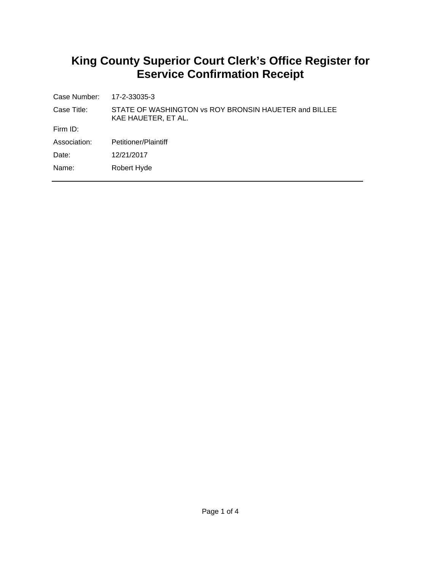# **King County Superior Court Clerk's Office Register for Eservice Confirmation Receipt**

| Case Number: 17-2-33035-3 |                                                                              |
|---------------------------|------------------------------------------------------------------------------|
| Case Title:               | STATE OF WASHINGTON vs ROY BRONSIN HAUETER and BILLEE<br>KAE HAUETER, ET AL. |
| Firm $ID:$                |                                                                              |
| Association:              | Petitioner/Plaintiff                                                         |
| Date:                     | 12/21/2017                                                                   |
| Name:                     | Robert Hyde                                                                  |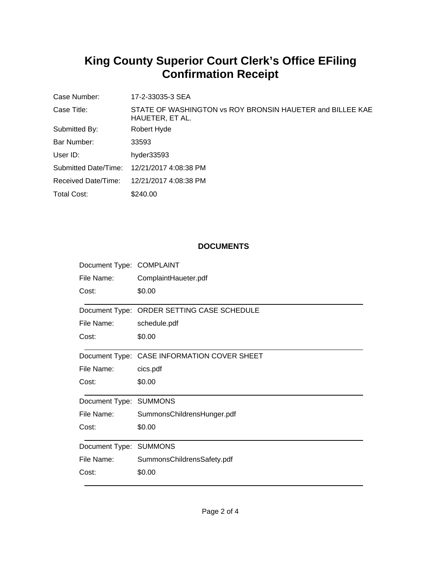# **King County Superior Court Clerk's Office EFiling Confirmation Receipt**

| Case Number:         | 17-2-33035-3 SEA                                                             |
|----------------------|------------------------------------------------------------------------------|
| Case Title:          | STATE OF WASHINGTON vs ROY BRONSIN HAUETER and BILLEE KAE<br>HAUETER, ET AL. |
| Submitted By:        | Robert Hyde                                                                  |
| Bar Number:          | 33593                                                                        |
| User $ID:$           | hyder33593                                                                   |
| Submitted Date/Time: | 12/21/2017 4:08:38 PM                                                        |
| Received Date/Time:  | 12/21/2017 4:08:38 PM                                                        |
| Total Cost:          | \$240.00                                                                     |

## **DOCUMENTS**

| Document Type: COMPLAINT |                                             |
|--------------------------|---------------------------------------------|
| File Name:               | ComplaintHaueter.pdf                        |
| Cost:                    | \$0.00                                      |
|                          | Document Type: ORDER SETTING CASE SCHEDULE  |
| File Name:               | schedule.pdf                                |
| Cost:                    | \$0.00                                      |
|                          | Document Type: CASE INFORMATION COVER SHEET |
| File Name:               | cics.pdf                                    |
| Cost:                    | \$0.00                                      |
| Document Type: SUMMONS   |                                             |
| File Name:               | SummonsChildrensHunger.pdf                  |
| Cost:                    | \$0.00                                      |
| Document Type: SUMMONS   |                                             |
| File Name:               | SummonsChildrensSafety.pdf                  |
| Cost:                    | \$0.00                                      |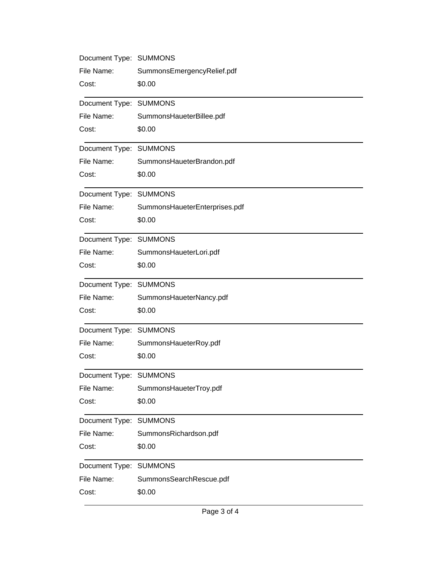| Document Type: SUMMONS |                               |
|------------------------|-------------------------------|
| File Name:             | SummonsEmergencyRelief.pdf    |
| Cost:                  | \$0.00                        |
| Document Type: SUMMONS |                               |
| File Name:             | SummonsHaueterBillee.pdf      |
| Cost:                  | \$0.00                        |
| Document Type: SUMMONS |                               |
| File Name:             | SummonsHaueterBrandon.pdf     |
| Cost:                  | \$0.00                        |
| Document Type: SUMMONS |                               |
| File Name:             | SummonsHaueterEnterprises.pdf |
| Cost:                  | \$0.00                        |
| Document Type: SUMMONS |                               |
| File Name:             | SummonsHaueterLori.pdf        |
| Cost:                  | \$0.00                        |
| Document Type: SUMMONS |                               |
| File Name:             | SummonsHaueterNancy.pdf       |
| Cost:                  | \$0.00                        |
| Document Type: SUMMONS |                               |
| File Name:             | SummonsHaueterRoy.pdf         |
| Cost:                  | \$0.00                        |
| Document Type: SUMMONS |                               |
| File Name:             | SummonsHaueterTroy.pdf        |
| Cost:                  | \$0.00                        |
| Document Type: SUMMONS |                               |
| File Name:             | SummonsRichardson.pdf         |
| Cost:                  | \$0.00                        |
| Document Type: SUMMONS |                               |
| File Name:             | SummonsSearchRescue.pdf       |
| Cost:                  | \$0.00                        |